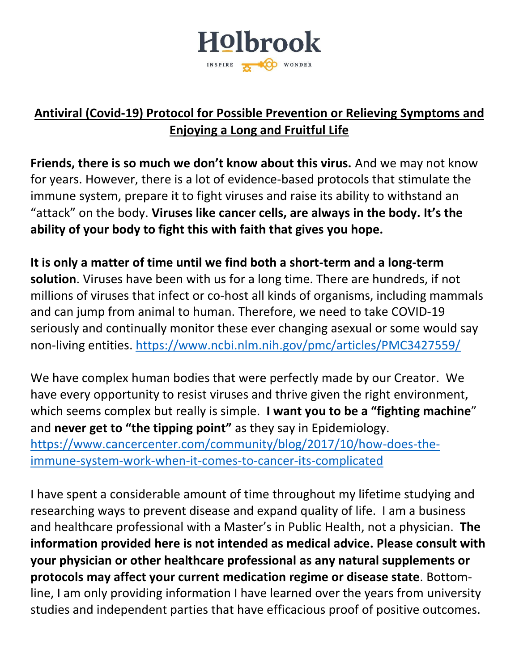

# **Antiviral (Covid-19) Protocol for Possible Prevention or Relieving Symptoms and Enjoying a Long and Fruitful Life**

**Friends, there is so much we don't know about this virus.** And we may not know for years. However, there is a lot of evidence-based protocols that stimulate the immune system, prepare it to fight viruses and raise its ability to withstand an "attack" on the body. **Viruses like cancer cells, are always in the body. It's the ability of your body to fight this with faith that gives you hope.** 

**It is only a matter of time until we find both a short-term and a long-term solution**. Viruses have been with us for a long time. There are hundreds, if not millions of viruses that infect or co-host all kinds of organisms, including mammals and can jump from animal to human. Therefore, we need to take COVID-19 seriously and continually monitor these ever changing asexual or some would say non-living entities.<https://www.ncbi.nlm.nih.gov/pmc/articles/PMC3427559/>

We have complex human bodies that were perfectly made by our Creator. We have every opportunity to resist viruses and thrive given the right environment, which seems complex but really is simple. **I want you to be a "fighting machine**" and **never get to "the tipping point"** as they say in Epidemiology. [https://www.cancercenter.com/community/blog/2017/10/how-does-the](https://www.cancercenter.com/community/blog/2017/10/how-does-the-immune-system-work-when-it-comes-to-cancer-its-complicated)[immune-system-work-when-it-comes-to-cancer-its-complicated](https://www.cancercenter.com/community/blog/2017/10/how-does-the-immune-system-work-when-it-comes-to-cancer-its-complicated)

I have spent a considerable amount of time throughout my lifetime studying and researching ways to prevent disease and expand quality of life. I am a business and healthcare professional with a Master's in Public Health, not a physician. **The information provided here is not intended as medical advice. Please consult with your physician or other healthcare professional as any natural supplements or protocols may affect your current medication regime or disease state**. Bottomline, I am only providing information I have learned over the years from university studies and independent parties that have efficacious proof of positive outcomes.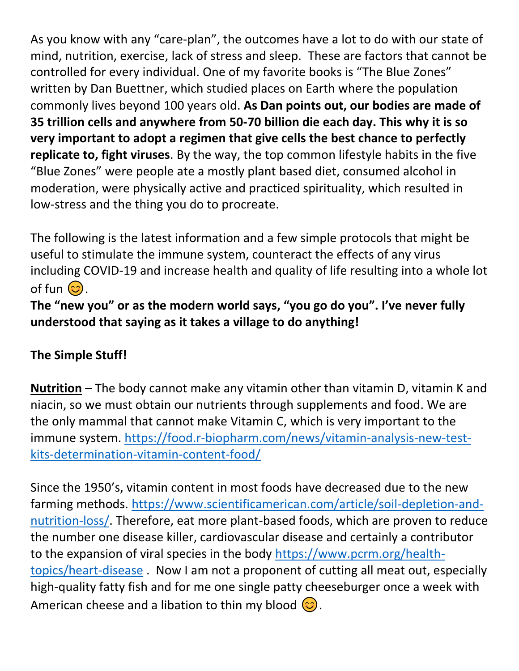As you know with any "care-plan", the outcomes have a lot to do with our state of mind, nutrition, exercise, lack of stress and sleep. These are factors that cannot be controlled for every individual. One of my favorite books is "The Blue Zones" written by Dan Buettner, which studied places on Earth where the population commonly lives beyond 100 years old. **As Dan points out, our bodies are made of 35 trillion cells and anywhere from 50-70 billion die each day. This why it is so very important to adopt a regimen that give cells the best chance to perfectly replicate to, fight viruses**. By the way, the top common lifestyle habits in the five "Blue Zones" were people ate a mostly plant based diet, consumed alcohol in moderation, were physically active and practiced spirituality, which resulted in low-stress and the thing you do to procreate.

The following is the latest information and a few simple protocols that might be useful to stimulate the immune system, counteract the effects of any virus including COVID-19 and increase health and quality of life resulting into a whole lot of fun  $\circled{c}$ .

**The "new you" or as the modern world says, "you go do you". I've never fully understood that saying as it takes a village to do anything!**

#### **The Simple Stuff!**

**Nutrition** – The body cannot make any vitamin other than vitamin D, vitamin K and niacin, so we must obtain our nutrients through supplements and food. We are the only mammal that cannot make Vitamin C, which is very important to the immune system. [https://food.r-biopharm.com/news/vitamin-analysis-new-test](https://food.r-biopharm.com/news/vitamin-analysis-new-test-kits-determination-vitamin-content-food/)[kits-determination-vitamin-content-food/](https://food.r-biopharm.com/news/vitamin-analysis-new-test-kits-determination-vitamin-content-food/)

Since the 1950's, vitamin content in most foods have decreased due to the new farming methods. [https://www.scientificamerican.com/article/soil-depletion-and](https://www.scientificamerican.com/article/soil-depletion-and-nutrition-loss/)[nutrition-loss/.](https://www.scientificamerican.com/article/soil-depletion-and-nutrition-loss/) Therefore, eat more plant-based foods, which are proven to reduce the number one disease killer, cardiovascular disease and certainly a contributor to the expansion of viral species in the body [https://www.pcrm.org/health](https://www.pcrm.org/health-topics/heart-disease)[topics/heart-disease](https://www.pcrm.org/health-topics/heart-disease) . Now I am not a proponent of cutting all meat out, especially high-quality fatty fish and for me one single patty cheeseburger once a week with American cheese and a libation to thin my blood  $\odot$ .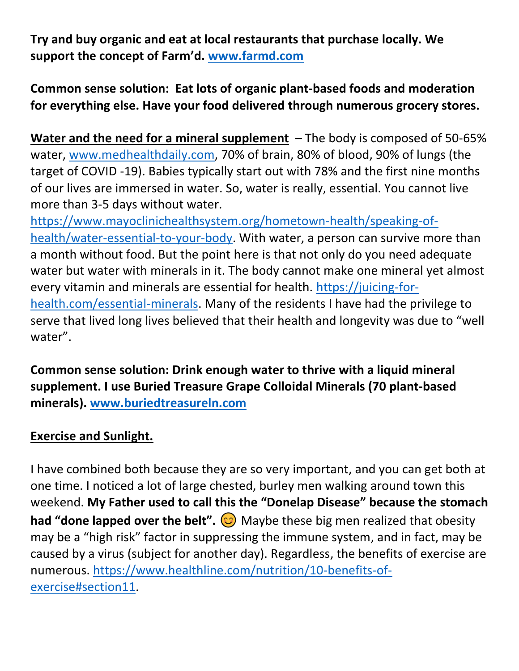**Try and buy organic and eat at local restaurants that purchase locally. We support the concept of Farm'd. [www.farmd.com](http://www.farmd.com/)**

**Common sense solution: Eat lots of organic plant-based foods and moderation for everything else. Have your food delivered through numerous grocery stores.** 

**Water and the need for a mineral supplement –** The body is composed of 50-65% water, [www.medhealthdaily.com,](http://www.medhealthdaily.com/) 70% of brain, 80% of blood, 90% of lungs (the target of COVID -19). Babies typically start out with 78% and the first nine months of our lives are immersed in water. So, water is really, essential. You cannot live more than 3-5 days without water.

[https://www.mayoclinichealthsystem.org/hometown-health/speaking-of](https://www.mayoclinichealthsystem.org/hometown-health/speaking-of-health/water-essential-to-your-body)[health/water-essential-to-your-body.](https://www.mayoclinichealthsystem.org/hometown-health/speaking-of-health/water-essential-to-your-body) With water, a person can survive more than a month without food. But the point here is that not only do you need adequate water but water with minerals in it. The body cannot make one mineral yet almost every vitamin and minerals are essential for health. [https://juicing-for](https://juicing-for-health.com/essential-minerals)[health.com/essential-minerals.](https://juicing-for-health.com/essential-minerals) Many of the residents I have had the privilege to serve that lived long lives believed that their health and longevity was due to "well water".

**Common sense solution: Drink enough water to thrive with a liquid mineral supplement. I use Buried Treasure Grape Colloidal Minerals (70 plant-based minerals). [www.buriedtreasureln.com](http://www.buriedtreasureln.com/)**

#### **Exercise and Sunlight.**

I have combined both because they are so very important, and you can get both at one time. I noticed a lot of large chested, burley men walking around town this weekend. **My Father used to call this the "Donelap Disease" because the stomach had "done lapped over the belt".**  $\odot$  Maybe these big men realized that obesity may be a "high risk" factor in suppressing the immune system, and in fact, may be caused by a virus (subject for another day). Regardless, the benefits of exercise are numerous. [https://www.healthline.com/nutrition/10-benefits-of](https://www.healthline.com/nutrition/10-benefits-of-exercise#section11)[exercise#section11.](https://www.healthline.com/nutrition/10-benefits-of-exercise#section11)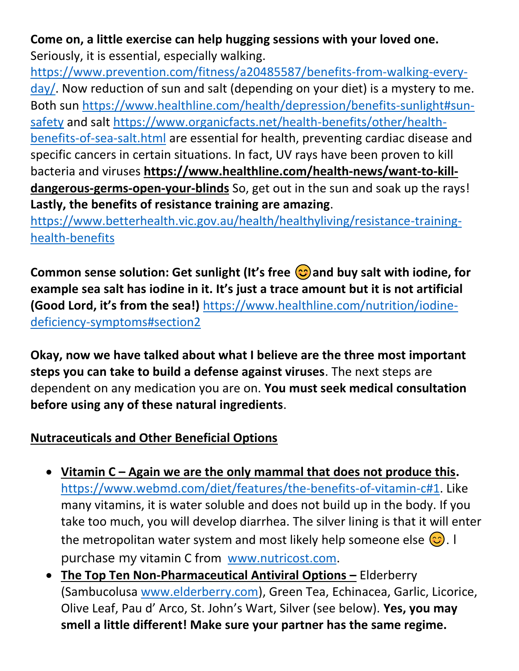# **Come on, a little exercise can help hugging sessions with your loved one.**  Seriously, it is essential, especially walking.

[https://www.prevention.com/fitness/a20485587/benefits-from-walking-every](https://www.prevention.com/fitness/a20485587/benefits-from-walking-every-day/)[day/.](https://www.prevention.com/fitness/a20485587/benefits-from-walking-every-day/) Now reduction of sun and salt (depending on your diet) is a mystery to me. Both sun [https://www.healthline.com/health/depression/benefits-sunlight#sun](https://www.healthline.com/health/depression/benefits-sunlight#sun-safety)[safety](https://www.healthline.com/health/depression/benefits-sunlight#sun-safety) and salt [https://www.organicfacts.net/health-benefits/other/health](https://www.organicfacts.net/health-benefits/other/health-benefits-of-sea-salt.html)[benefits-of-sea-salt.html](https://www.organicfacts.net/health-benefits/other/health-benefits-of-sea-salt.html) are essential for health, preventing cardiac disease and specific cancers in certain situations. In fact, UV rays have been proven to kill bacteria and viruses **[https://www.healthline.com/health-news/want-to-kill](https://www.healthline.com/health-news/want-to-kill-dangerous-germs-open-your-blinds)[dangerous-germs-open-your-blinds](https://www.healthline.com/health-news/want-to-kill-dangerous-germs-open-your-blinds)** So, get out in the sun and soak up the rays! **Lastly, the benefits of resistance training are amazing**.

[https://www.betterhealth.vic.gov.au/health/healthyliving/resistance-training](https://www.betterhealth.vic.gov.au/health/healthyliving/resistance-training-health-benefits)[health-benefits](https://www.betterhealth.vic.gov.au/health/healthyliving/resistance-training-health-benefits)

**Common sense solution: Get sunlight (It's free and buy salt with iodine, for example sea salt has iodine in it. It's just a trace amount but it is not artificial (Good Lord, it's from the sea!)** [https://www.healthline.com/nutrition/iodine](https://www.healthline.com/nutrition/iodine-deficiency-symptoms#section2)[deficiency-symptoms#section2](https://www.healthline.com/nutrition/iodine-deficiency-symptoms#section2)

**Okay, now we have talked about what I believe are the three most important steps you can take to build a defense against viruses**. The next steps are dependent on any medication you are on. **You must seek medical consultation before using any of these natural ingredients**.

# **Nutraceuticals and Other Beneficial Options**

- **Vitamin C – Again we are the only mammal that does not produce this.**  [https://www.webmd.com/diet/features/the-benefits-of-vitamin-c#1.](https://www.webmd.com/diet/features/the-benefits-of-vitamin-c#1) Like many vitamins, it is water soluble and does not build up in the body. If you take too much, you will develop diarrhea. The silver lining is that it will enter the metropolitan water system and most likely help someone else  $\circled{c}$ . I purchase my vitamin C from [www.nutricost.com.](http://www.nutricost.com/)
- **The Top Ten Non-Pharmaceutical Antiviral Options –** Elderberry (Sambucolusa [www.elderberry.com\)](http://www.elderberry.com/), Green Tea, Echinacea, Garlic, Licorice, Olive Leaf, Pau d' Arco, St. John's Wart, Silver (see below). **Yes, you may smell a little different! Make sure your partner has the same regime.**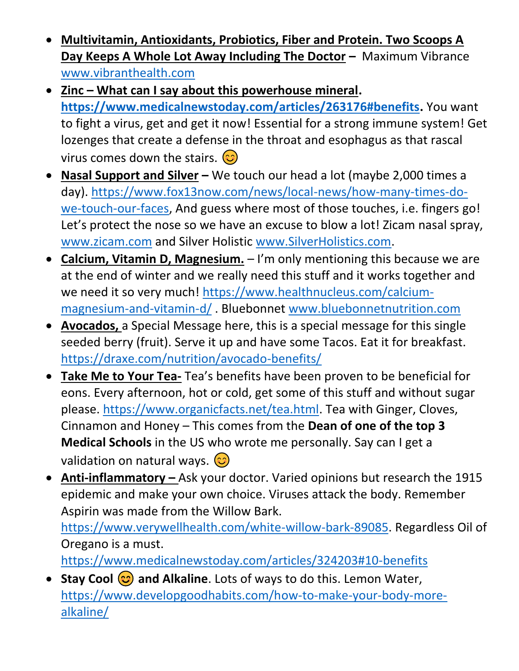- **Multivitamin, Antioxidants, Probiotics, Fiber and Protein. Two Scoops A Day Keeps A Whole Lot Away Including The Doctor –** Maximum Vibrance [www.vibranthealth.com](http://www.vibranthealth.com/)
- **Zinc – What can I say about this powerhouse mineral. [https://www.medicalnewstoday.com/articles/263176#benefits.](https://www.medicalnewstoday.com/articles/263176#benefits)** You want to fight a virus, get and get it now! Essential for a strong immune system! Get lozenges that create a defense in the throat and esophagus as that rascal virus comes down the stairs.  $\circled{c}$
- **Nasal Support and Silver –** We touch our head a lot (maybe 2,000 times a day). [https://www.fox13now.com/news/local-news/how-many-times-do](https://www.fox13now.com/news/local-news/how-many-times-do-we-touch-our-faces)[we-touch-our-faces,](https://www.fox13now.com/news/local-news/how-many-times-do-we-touch-our-faces) And guess where most of those touches, i.e. fingers go! Let's protect the nose so we have an excuse to blow a lot! Zicam nasal spray, [www.zicam.com](http://www.zicam.com/) and Silver Holistic [www.SilverHolistics.com.](http://www.silverholistics.com/)
- **Calcium, Vitamin D, Magnesium.** I'm only mentioning this because we are at the end of winter and we really need this stuff and it works together and we need it so very much! [https://www.healthnucleus.com/calcium](https://www.healthnucleus.com/calcium-magnesium-and-vitamin-d/)[magnesium-and-vitamin-d/](https://www.healthnucleus.com/calcium-magnesium-and-vitamin-d/) . Bluebonnet [www.bluebonnetnutrition.com](http://www.bluebonnetnutrition.com/)
- **Avocados,** a Special Message here, this is a special message for this single seeded berry (fruit). Serve it up and have some Tacos. Eat it for breakfast. <https://draxe.com/nutrition/avocado-benefits/>
- **Take Me to Your Tea-** Tea's benefits have been proven to be beneficial for eons. Every afternoon, hot or cold, get some of this stuff and without sugar please. [https://www.organicfacts.net/tea.html.](https://www.organicfacts.net/tea.html) Tea with Ginger, Cloves, Cinnamon and Honey – This comes from the **Dean of one of the top 3 Medical Schools** in the US who wrote me personally. Say can I get a validation on natural ways.  $\circled{c}$
- **Anti-inflammatory –** Ask your doctor. Varied opinions but research the 1915 epidemic and make your own choice. Viruses attack the body. Remember Aspirin was made from the Willow Bark.

[https://www.verywellhealth.com/white-willow-bark-89085.](https://www.verywellhealth.com/white-willow-bark-89085) Regardless Oil of Oregano is a must.

<https://www.medicalnewstoday.com/articles/324203#10-benefits>

• Stay Cool  $\circled{c}$  and Alkaline. Lots of ways to do this. Lemon Water, [https://www.developgoodhabits.com/how-to-make-your-body-more](https://www.developgoodhabits.com/how-to-make-your-body-more-alkaline/)[alkaline/](https://www.developgoodhabits.com/how-to-make-your-body-more-alkaline/)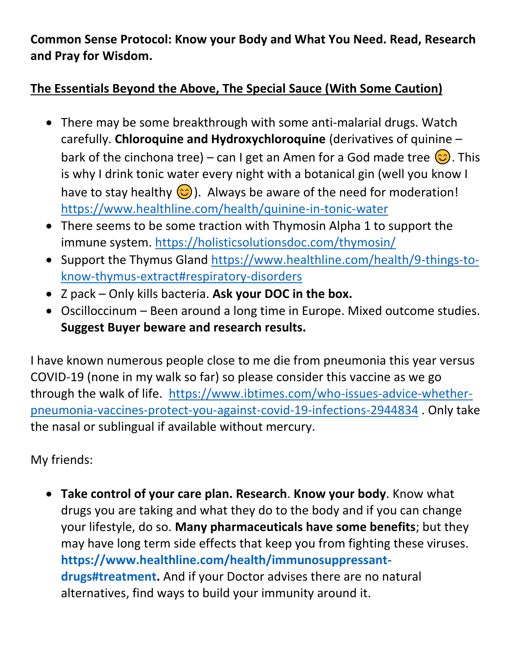**Common Sense Protocol: Know your Body and What You Need. Read, Research and Pray for Wisdom.**

#### **The Essentials Beyond the Above, The Special Sauce (With Some Caution)**

- There may be some breakthrough with some anti-malarial drugs. Watch carefully. **Chloroquine and Hydroxychloroquine** (derivatives of quinine – bark of the cinchona tree) – can I get an Amen for a God made tree  $\circled{c}$ . This is why I drink tonic water every night with a botanical gin (well you know I have to stay healthy  $\odot$ ). Always be aware of the need for moderation! <https://www.healthline.com/health/quinine-in-tonic-water>
- There seems to be some traction with Thymosin Alpha 1 to support the immune system.<https://holisticsolutionsdoc.com/thymosin/>
- Support the Thymus Gland [https://www.healthline.com/health/9-things-to](https://www.healthline.com/health/9-things-to-know-thymus-extract#respiratory-disorders)[know-thymus-extract#respiratory-disorders](https://www.healthline.com/health/9-things-to-know-thymus-extract#respiratory-disorders)
- Z pack Only kills bacteria. **Ask your DOC in the box.**
- Oscilloccinum Been around a long time in Europe. Mixed outcome studies. **Suggest Buyer beware and research results.**

I have known numerous people close to me die from pneumonia this year versus COVID-19 (none in my walk so far) so please consider this vaccine as we go through the walk of life. [https://www.ibtimes.com/who-issues-advice-whether](https://www.ibtimes.com/who-issues-advice-whether-pneumonia-vaccines-protect-you-against-covid-19-infections-2944834)[pneumonia-vaccines-protect-you-against-covid-19-infections-2944834](https://www.ibtimes.com/who-issues-advice-whether-pneumonia-vaccines-protect-you-against-covid-19-infections-2944834) . Only take the nasal or sublingual if available without mercury.

My friends:

• **Take control of your care plan. Research**. **Know your body**. Know what drugs you are taking and what they do to the body and if you can change your lifestyle, do so. **Many pharmaceuticals have some benefits**; but they may have long term side effects that keep you from fighting these viruses. **[https://www.healthline.com/health/immunosuppressant](https://www.healthline.com/health/immunosuppressant-drugs#treatment)[drugs#treatment.](https://www.healthline.com/health/immunosuppressant-drugs#treatment)** And if your Doctor advises there are no natural alternatives, find ways to build your immunity around it.